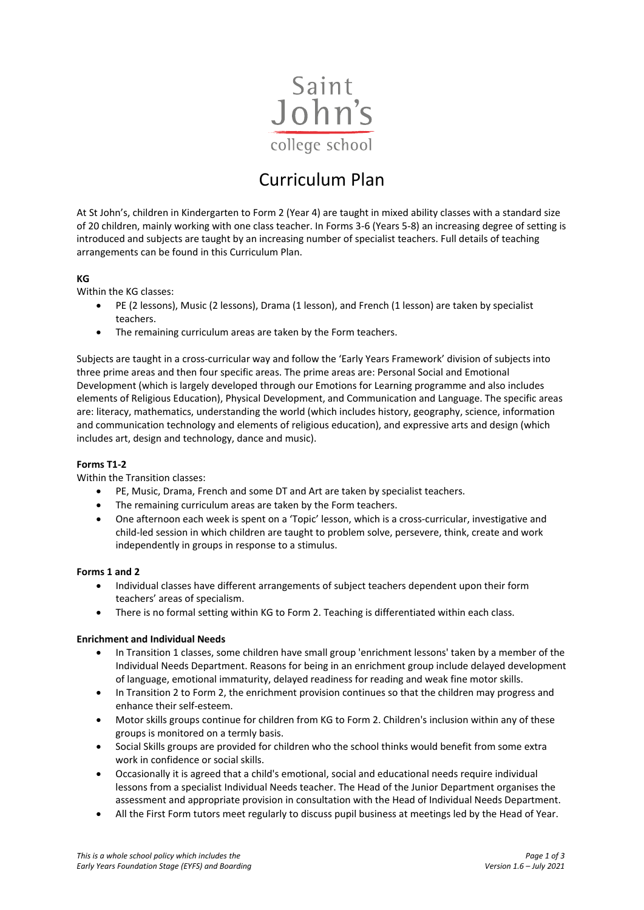

# Curriculum Plan

At St John's, children in Kindergarten to Form 2 (Year 4) are taught in mixed ability classes with a standard size of 20 children, mainly working with one class teacher. In Forms 3-6 (Years 5-8) an increasing degree of setting is introduced and subjects are taught by an increasing number of specialist teachers. Full details of teaching arrangements can be found in this Curriculum Plan.

# **KG**

Within the KG classes:

- PE (2 lessons), Music (2 lessons), Drama (1 lesson), and French (1 lesson) are taken by specialist teachers.
- The remaining curriculum areas are taken by the Form teachers.

Subjects are taught in a cross-curricular way and follow the 'Early Years Framework' division of subjects into three prime areas and then four specific areas. The prime areas are: Personal Social and Emotional Development (which is largely developed through our Emotions for Learning programme and also includes elements of Religious Education), Physical Development, and Communication and Language. The specific areas are: literacy, mathematics, understanding the world (which includes history, geography, science, information and communication technology and elements of religious education), and expressive arts and design (which includes art, design and technology, dance and music).

# **Forms T1-2**

Within the Transition classes:

- PE, Music, Drama, French and some DT and Art are taken by specialist teachers.
- The remaining curriculum areas are taken by the Form teachers.
- One afternoon each week is spent on a 'Topic' lesson, which is a cross-curricular, investigative and child-led session in which children are taught to problem solve, persevere, think, create and work independently in groups in response to a stimulus.

## **Forms 1 and 2**

- Individual classes have different arrangements of subject teachers dependent upon their form teachers' areas of specialism.
- There is no formal setting within KG to Form 2. Teaching is differentiated within each class.

### **Enrichment and Individual Needs**

- In Transition 1 classes, some children have small group 'enrichment lessons' taken by a member of the Individual Needs Department. Reasons for being in an enrichment group include delayed development of language, emotional immaturity, delayed readiness for reading and weak fine motor skills.
- In Transition 2 to Form 2, the enrichment provision continues so that the children may progress and enhance their self-esteem.
- Motor skills groups continue for children from KG to Form 2. Children's inclusion within any of these groups is monitored on a termly basis.
- Social Skills groups are provided for children who the school thinks would benefit from some extra work in confidence or social skills.
- Occasionally it is agreed that a child's emotional, social and educational needs require individual lessons from a specialist Individual Needs teacher. The Head of the Junior Department organises the assessment and appropriate provision in consultation with the Head of Individual Needs Department.
- All the First Form tutors meet regularly to discuss pupil business at meetings led by the Head of Year.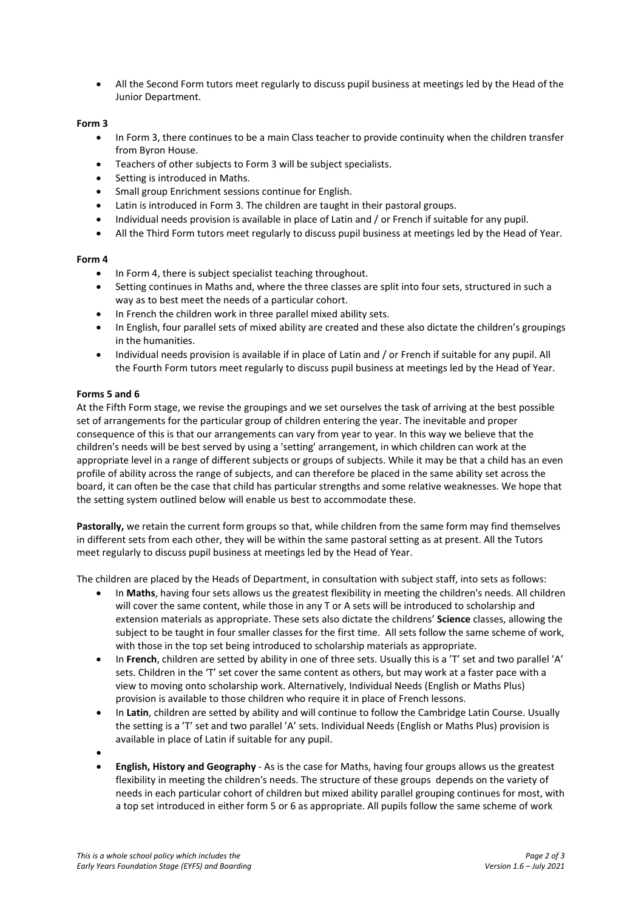• All the Second Form tutors meet regularly to discuss pupil business at meetings led by the Head of the Junior Department.

## **Form 3**

- In Form 3, there continues to be a main Class teacher to provide continuity when the children transfer from Byron House.
- Teachers of other subjects to Form 3 will be subject specialists.
- Setting is introduced in Maths.
- Small group Enrichment sessions continue for English.
- Latin is introduced in Form 3. The children are taught in their pastoral groups.
- Individual needs provision is available in place of Latin and / or French if suitable for any pupil.
- All the Third Form tutors meet regularly to discuss pupil business at meetings led by the Head of Year.

### **Form 4**

- In Form 4, there is subject specialist teaching throughout.
- Setting continues in Maths and, where the three classes are split into four sets, structured in such a way as to best meet the needs of a particular cohort.
- In French the children work in three parallel mixed ability sets.
- In English, four parallel sets of mixed ability are created and these also dictate the children's groupings in the humanities.
- Individual needs provision is available if in place of Latin and / or French if suitable for any pupil. All the Fourth Form tutors meet regularly to discuss pupil business at meetings led by the Head of Year.

## **Forms 5 and 6**

At the Fifth Form stage, we revise the groupings and we set ourselves the task of arriving at the best possible set of arrangements for the particular group of children entering the year. The inevitable and proper consequence of this is that our arrangements can vary from year to year. In this way we believe that the children's needs will be best served by using a 'setting' arrangement, in which children can work at the appropriate level in a range of different subjects or groups of subjects. While it may be that a child has an even profile of ability across the range of subjects, and can therefore be placed in the same ability set across the board, it can often be the case that child has particular strengths and some relative weaknesses. We hope that the setting system outlined below will enable us best to accommodate these.

Pastorally, we retain the current form groups so that, while children from the same form may find themselves in different sets from each other, they will be within the same pastoral setting as at present. All the Tutors meet regularly to discuss pupil business at meetings led by the Head of Year.

The children are placed by the Heads of Department, in consultation with subject staff, into sets as follows:

- In **Maths**, having four sets allows us the greatest flexibility in meeting the children's needs. All children will cover the same content, while those in any T or A sets will be introduced to scholarship and extension materials as appropriate. These sets also dictate the childrens' **Science** classes, allowing the subject to be taught in four smaller classes for the first time. All sets follow the same scheme of work, with those in the top set being introduced to scholarship materials as appropriate.
- In **French**, children are setted by ability in one of three sets. Usually this is a 'T' set and two parallel 'A' sets. Children in the 'T' set cover the same content as others, but may work at a faster pace with a view to moving onto scholarship work. Alternatively, Individual Needs (English or Maths Plus) provision is available to those children who require it in place of French lessons.
- In **Latin**, children are setted by ability and will continue to follow the Cambridge Latin Course. Usually the setting is a 'T' set and two parallel 'A' sets. Individual Needs (English or Maths Plus) provision is available in place of Latin if suitable for any pupil.
- •
- **English, History and Geography** As is the case for Maths, having four groups allows us the greatest flexibility in meeting the children's needs. The structure of these groups depends on the variety of needs in each particular cohort of children but mixed ability parallel grouping continues for most, with a top set introduced in either form 5 or 6 as appropriate. All pupils follow the same scheme of work